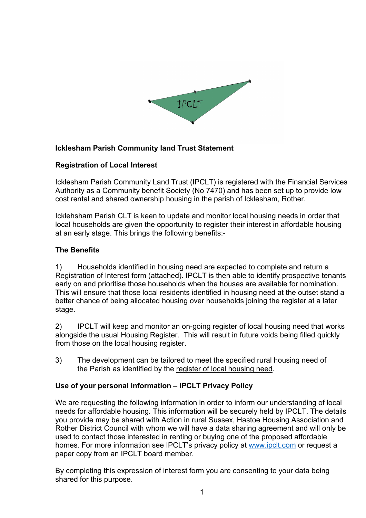

## **Icklesham Parish Community land Trust Statement**

### **Registration of Local Interest**

Icklesham Parish Community Land Trust (IPCLT) is registered with the Financial Services Authority as a Community benefit Society (No 7470) and has been set up to provide low cost rental and shared ownership housing in the parish of Icklesham, Rother.

Icklehsham Parish CLT is keen to update and monitor local housing needs in order that local households are given the opportunity to register their interest in affordable housing at an early stage. This brings the following benefits:-

## **The Benefits**

1) Households identified in housing need are expected to complete and return a Registration of Interest form (attached). IPCLT is then able to identify prospective tenants early on and prioritise those households when the houses are available for nomination. This will ensure that those local residents identified in housing need at the outset stand a better chance of being allocated housing over households joining the register at a later stage.

2) IPCLT will keep and monitor an on-going register of local housing need that works alongside the usual Housing Register. This will result in future voids being filled quickly from those on the local housing register.

3) The development can be tailored to meet the specified rural housing need of the Parish as identified by the register of local housing need.

### **Use of your personal information – IPCLT Privacy Policy**

We are requesting the following information in order to inform our understanding of local needs for affordable housing. This information will be securely held by IPCLT. The details you provide may be shared with Action in rural Sussex, Hastoe Housing Association and Rother District Council with whom we will have a data sharing agreement and will only be used to contact those interested in renting or buying one of the proposed affordable homes. For more information see IPCLT's privacy policy at [www.ipclt.com](http://www.ipclt.com) or request a paper copy from an IPCLT board member.

By completing this expression of interest form you are consenting to your data being shared for this purpose.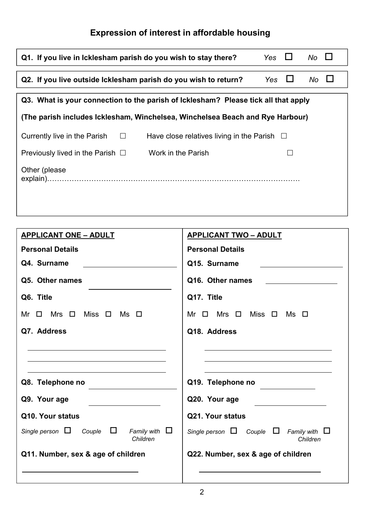# **Expression of interest in affordable housing**

| Q1. If you live in Icklesham parish do you wish to stay there?                             | Yes $\Box$                   | $No$ $\Box$   |    |        |
|--------------------------------------------------------------------------------------------|------------------------------|---------------|----|--------|
| Q2. If you live outside Icklesham parish do you wish to return?                            |                              | $\Box$<br>Yes | No | $\Box$ |
| Q3. What is your connection to the parish of Icklesham? Please tick all that apply         |                              |               |    |        |
| (The parish includes Icklesham, Winchelsea, Winchelsea Beach and Rye Harbour)              |                              |               |    |        |
| Currently live in the Parish $\square$<br>Have close relatives living in the Parish $\Box$ |                              |               |    |        |
| Work in the Parish<br>Previously lived in the Parish $\Box$                                |                              |               |    |        |
| Other (please                                                                              |                              |               |    |        |
|                                                                                            |                              |               |    |        |
| <b>APPLICANT ONE - ADULT</b>                                                               | <b>APPLICANT TWO - ADULT</b> |               |    |        |
| <b>Personal Details</b>                                                                    | <b>Personal Details</b>      |               |    |        |
| 04 Surname                                                                                 | 015 Surnamo                  |               |    |        |

| Q4. Surname                                                                                                                     | Q15. Surname                                                                                                                   |  |  |  |
|---------------------------------------------------------------------------------------------------------------------------------|--------------------------------------------------------------------------------------------------------------------------------|--|--|--|
| Q5. Other names                                                                                                                 | Q16. Other names                                                                                                               |  |  |  |
| Q6. Title                                                                                                                       | Q17. Title                                                                                                                     |  |  |  |
| Miss $\Box$<br>$\Box$<br>Mrs $\quad \Box$<br>Ms □<br>Mr                                                                         | Mrs $\quad \Box$<br>Miss $\quad \Box$<br>$Ms$ $\square$<br>Mr<br>$\Box$                                                        |  |  |  |
| Q7. Address                                                                                                                     | Q18. Address                                                                                                                   |  |  |  |
| Q8. Telephone no<br>Q9. Your age<br>Q10. Your status<br>Family with $\Box$<br>Single person $\Box$<br>Couple $\Box$<br>Children | Q19. Telephone no<br>Q20. Your age<br>Q21. Your status<br>Single person $\Box$ Couple $\Box$<br>Family with $\Box$<br>Children |  |  |  |
| Q11. Number, sex & age of children                                                                                              | Q22. Number, sex & age of children                                                                                             |  |  |  |
|                                                                                                                                 |                                                                                                                                |  |  |  |